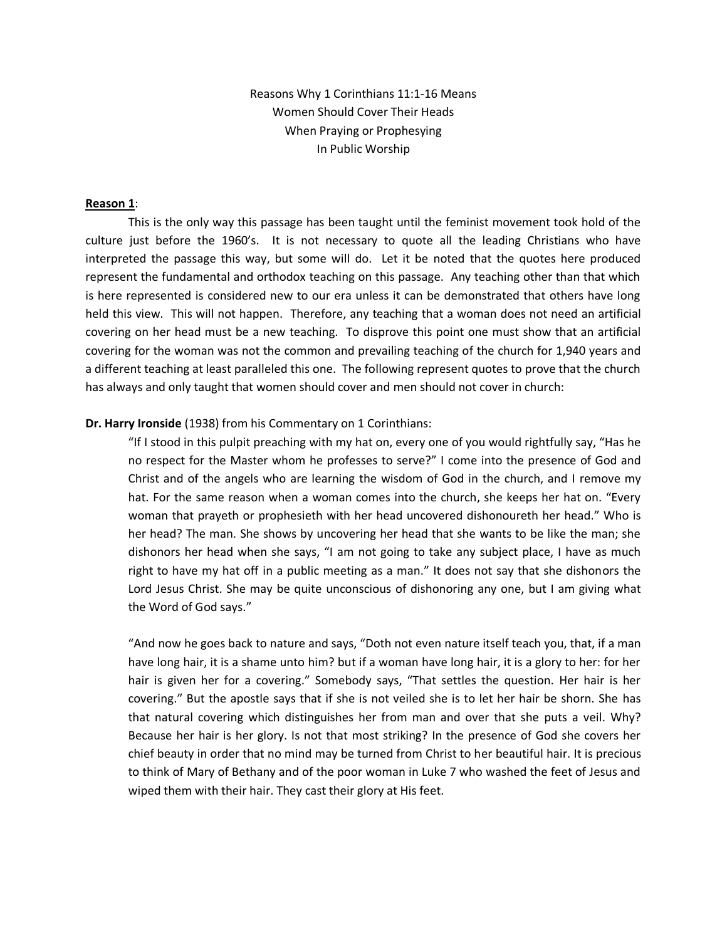Reasons Why 1 Corinthians 11:1-16 Means Women Should Cover Their Heads When Praying or Prophesying In Public Worship

## **Reason 1**:

This is the only way this passage has been taught until the feminist movement took hold of the culture just before the 1960's. It is not necessary to quote all the leading Christians who have interpreted the passage this way, but some will do. Let it be noted that the quotes here produced represent the fundamental and orthodox teaching on this passage. Any teaching other than that which is here represented is considered new to our era unless it can be demonstrated that others have long held this view. This will not happen. Therefore, any teaching that a woman does not need an artificial covering on her head must be a new teaching. To disprove this point one must show that an artificial covering for the woman was not the common and prevailing teaching of the church for 1,940 years and a different teaching at least paralleled this one. The following represent quotes to prove that the church has always and only taught that women should cover and men should not cover in church:

# **Dr. Harry Ironside** (1938) from his Commentary on 1 Corinthians:

"If I stood in this pulpit preaching with my hat on, every one of you would rightfully say, "Has he no respect for the Master whom he professes to serve?" I come into the presence of God and Christ and of the angels who are learning the wisdom of God in the church, and I remove my hat. For the same reason when a woman comes into the church, she keeps her hat on. "Every woman that prayeth or prophesieth with her head uncovered dishonoureth her head." Who is her head? The man. She shows by uncovering her head that she wants to be like the man; she dishonors her head when she says, "I am not going to take any subject place, I have as much right to have my hat off in a public meeting as a man." It does not say that she dishonors the Lord Jesus Christ. She may be quite unconscious of dishonoring any one, but I am giving what the Word of God says."

"And now he goes back to nature and says, "Doth not even nature itself teach you, that, if a man have long hair, it is a shame unto him? but if a woman have long hair, it is a glory to her: for her hair is given her for a covering." Somebody says, "That settles the question. Her hair is her covering." But the apostle says that if she is not veiled she is to let her hair be shorn. She has that natural covering which distinguishes her from man and over that she puts a veil. Why? Because her hair is her glory. Is not that most striking? In the presence of God she covers her chief beauty in order that no mind may be turned from Christ to her beautiful hair. It is precious to think of Mary of Bethany and of the poor woman in Luke 7 who washed the feet of Jesus and wiped them with their hair. They cast their glory at His feet.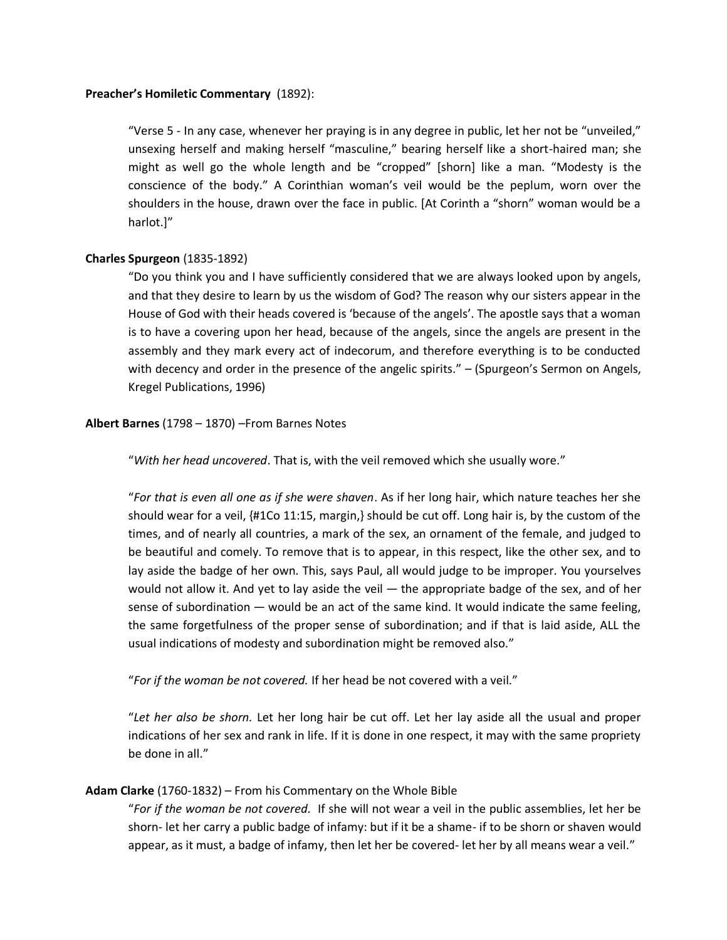# **Preacher's Homiletic Commentary** (1892):

"Verse 5 - In any case, whenever her praying is in any degree in public, let her not be "unveiled," unsexing herself and making herself "masculine," bearing herself like a short-haired man; she might as well go the whole length and be "cropped" [shorn] like a man. "Modesty is the conscience of the body." A Corinthian woman's veil would be the peplum, worn over the shoulders in the house, drawn over the face in public. [At Corinth a "shorn" woman would be a harlot.]"

# **Charles Spurgeon** (1835-1892)

"Do you think you and I have sufficiently considered that we are always looked upon by angels, and that they desire to learn by us the wisdom of God? The reason why our sisters appear in the House of God with their heads covered is 'because of the angels'. The apostle says that a woman is to have a covering upon her head, because of the angels, since the angels are present in the assembly and they mark every act of indecorum, and therefore everything is to be conducted with decency and order in the presence of the angelic spirits." – (Spurgeon's Sermon on Angels, Kregel Publications, 1996)

## **Albert Barnes** (1798 – 1870) –From Barnes Notes

"*With her head uncovered*. That is, with the veil removed which she usually wore."

"*For that is even all one as if she were shaven*. As if her long hair, which nature teaches her she should wear for a veil, {#1Co 11:15, margin,} should be cut off. Long hair is, by the custom of the times, and of nearly all countries, a mark of the sex, an ornament of the female, and judged to be beautiful and comely. To remove that is to appear, in this respect, like the other sex, and to lay aside the badge of her own. This, says Paul, all would judge to be improper. You yourselves would not allow it. And yet to lay aside the veil — the appropriate badge of the sex, and of her sense of subordination — would be an act of the same kind. It would indicate the same feeling, the same forgetfulness of the proper sense of subordination; and if that is laid aside, ALL the usual indications of modesty and subordination might be removed also."

"*For if the woman be not covered.* If her head be not covered with a veil."

"*Let her also be shorn.* Let her long hair be cut off. Let her lay aside all the usual and proper indications of her sex and rank in life. If it is done in one respect, it may with the same propriety be done in all."

# **Adam Clarke** (1760-1832) – From his Commentary on the Whole Bible

"*For if the woman be not covered.* If she will not wear a veil in the public assemblies, let her be shorn- let her carry a public badge of infamy: but if it be a shame- if to be shorn or shaven would appear, as it must, a badge of infamy, then let her be covered- let her by all means wear a veil."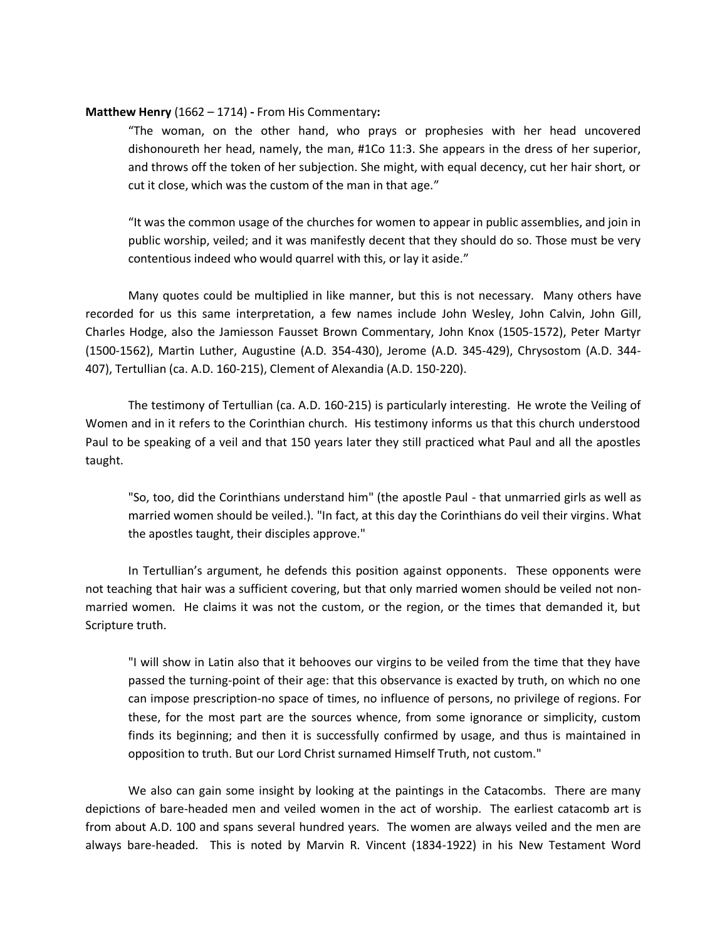# **Matthew Henry** (1662 – 1714) **-** From His Commentary**:**

"The woman, on the other hand, who prays or prophesies with her head uncovered dishonoureth her head, namely, the man, #1Co 11:3. She appears in the dress of her superior, and throws off the token of her subjection. She might, with equal decency, cut her hair short, or cut it close, which was the custom of the man in that age."

"It was the common usage of the churches for women to appear in public assemblies, and join in public worship, veiled; and it was manifestly decent that they should do so. Those must be very contentious indeed who would quarrel with this, or lay it aside."

Many quotes could be multiplied in like manner, but this is not necessary. Many others have recorded for us this same interpretation, a few names include John Wesley, John Calvin, John Gill, Charles Hodge, also the Jamiesson Fausset Brown Commentary, John Knox (1505-1572), Peter Martyr (1500-1562), Martin Luther, Augustine (A.D. 354-430), Jerome (A.D. 345-429), Chrysostom (A.D. 344- 407), Tertullian (ca. A.D. 160-215), Clement of Alexandia (A.D. 150-220).

The testimony of Tertullian (ca. A.D. 160-215) is particularly interesting. He wrote the Veiling of Women and in it refers to the Corinthian church. His testimony informs us that this church understood Paul to be speaking of a veil and that 150 years later they still practiced what Paul and all the apostles taught.

"So, too, did the Corinthians understand him" (the apostle Paul - that unmarried girls as well as married women should be veiled.). "In fact, at this day the Corinthians do veil their virgins. What the apostles taught, their disciples approve."

In Tertullian's argument, he defends this position against opponents. These opponents were not teaching that hair was a sufficient covering, but that only married women should be veiled not nonmarried women. He claims it was not the custom, or the region, or the times that demanded it, but Scripture truth.

"I will show in Latin also that it behooves our virgins to be veiled from the time that they have passed the turning-point of their age: that this observance is exacted by truth, on which no one can impose prescription-no space of times, no influence of persons, no privilege of regions. For these, for the most part are the sources whence, from some ignorance or simplicity, custom finds its beginning; and then it is successfully confirmed by usage, and thus is maintained in opposition to truth. But our Lord Christ surnamed Himself Truth, not custom."

We also can gain some insight by looking at the paintings in the Catacombs. There are many depictions of bare-headed men and veiled women in the act of worship. The earliest catacomb art is from about A.D. 100 and spans several hundred years. The women are always veiled and the men are always bare-headed. This is noted by Marvin R. Vincent (1834-1922) in his New Testament Word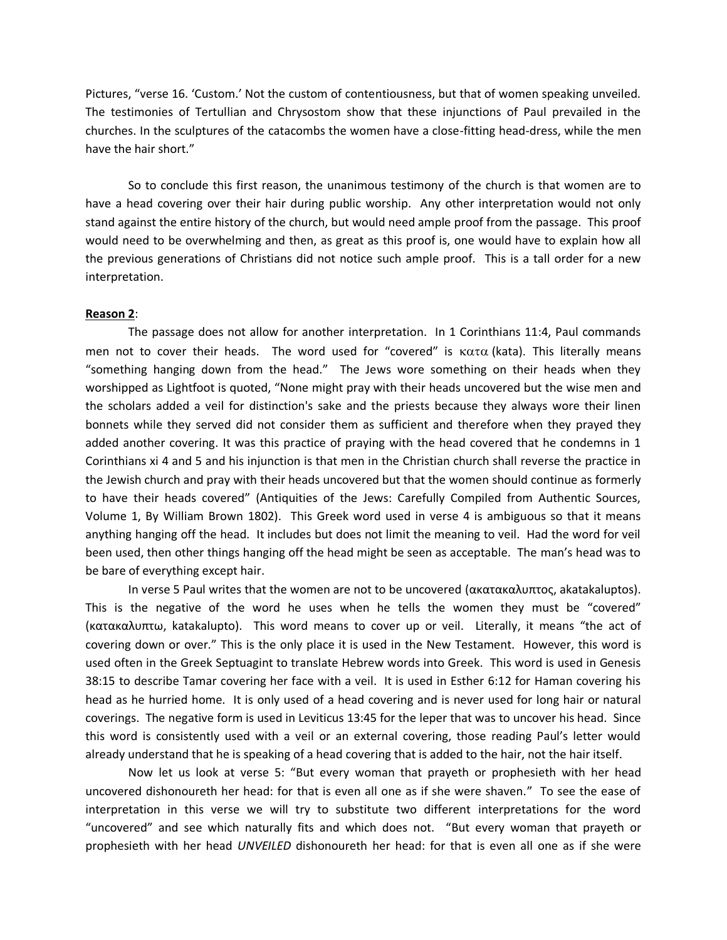Pictures, "verse 16. 'Custom.' Not the custom of contentiousness, but that of women speaking unveiled. The testimonies of Tertullian and Chrysostom show that these injunctions of Paul prevailed in the churches. In the sculptures of the catacombs the women have a close-fitting head-dress, while the men have the hair short."

So to conclude this first reason, the unanimous testimony of the church is that women are to have a head covering over their hair during public worship. Any other interpretation would not only stand against the entire history of the church, but would need ample proof from the passage. This proof would need to be overwhelming and then, as great as this proof is, one would have to explain how all the previous generations of Christians did not notice such ample proof. This is a tall order for a new interpretation.

#### **Reason 2**:

The passage does not allow for another interpretation. In 1 Corinthians 11:4, Paul commands men not to cover their heads. The word used for "covered" is  $\kappa \alpha \tau \alpha$  (kata). This literally means "something hanging down from the head." The Jews wore something on their heads when they worshipped as Lightfoot is quoted, "None might pray with their heads uncovered but the wise men and the scholars added a veil for distinction's sake and the priests because they always wore their linen bonnets while they served did not consider them as sufficient and therefore when they prayed they added another covering. It was this practice of praying with the head covered that he condemns in 1 Corinthians xi 4 and 5 and his injunction is that men in the Christian church shall reverse the practice in the Jewish church and pray with their heads uncovered but that the women should continue as formerly to have their heads covered" (Antiquities of the Jews: Carefully Compiled from Authentic Sources, Volume 1, By William Brown 1802). This Greek word used in verse 4 is ambiguous so that it means anything hanging off the head. It includes but does not limit the meaning to veil. Had the word for veil been used, then other things hanging off the head might be seen as acceptable. The man's head was to be bare of everything except hair.

In verse 5 Paul writes that the women are not to be uncovered (ακατακαλυπτος, akatakaluptos). This is the negative of the word he uses when he tells the women they must be "covered" (κατακαλυπτω, katakalupto). This word means to cover up or veil. Literally, it means "the act of covering down or over." This is the only place it is used in the New Testament. However, this word is used often in the Greek Septuagint to translate Hebrew words into Greek. This word is used in Genesis 38:15 to describe Tamar covering her face with a veil. It is used in Esther 6:12 for Haman covering his head as he hurried home. It is only used of a head covering and is never used for long hair or natural coverings. The negative form is used in Leviticus 13:45 for the leper that was to uncover his head. Since this word is consistently used with a veil or an external covering, those reading Paul's letter would already understand that he is speaking of a head covering that is added to the hair, not the hair itself.

Now let us look at verse 5: "But every woman that prayeth or prophesieth with her head uncovered dishonoureth her head: for that is even all one as if she were shaven." To see the ease of interpretation in this verse we will try to substitute two different interpretations for the word "uncovered" and see which naturally fits and which does not. "But every woman that prayeth or prophesieth with her head *UNVEILED* dishonoureth her head: for that is even all one as if she were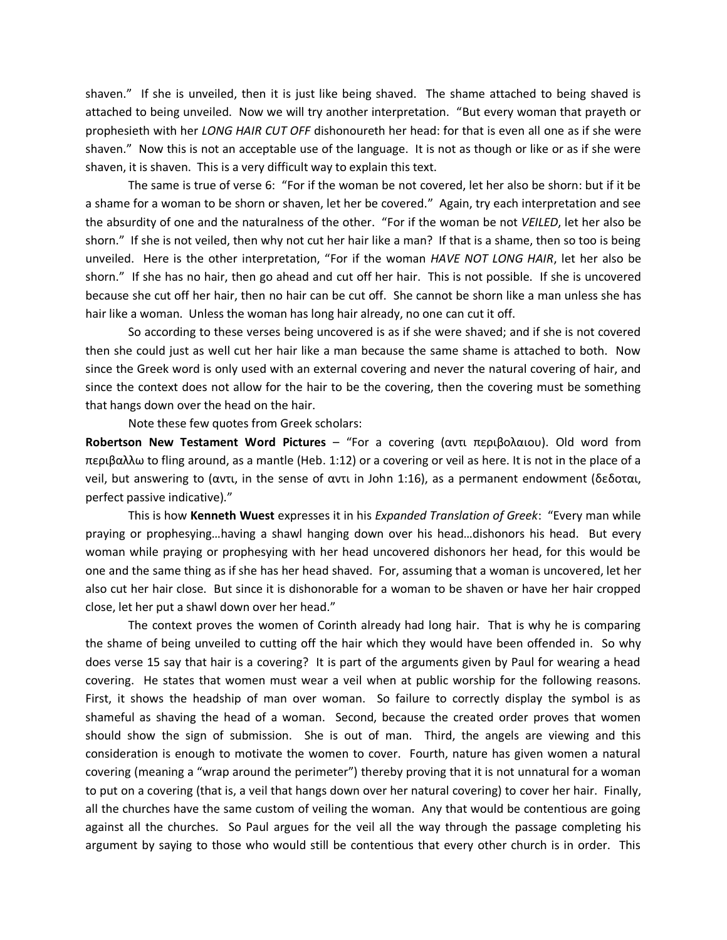shaven." If she is unveiled, then it is just like being shaved. The shame attached to being shaved is attached to being unveiled. Now we will try another interpretation. "But every woman that prayeth or prophesieth with her *LONG HAIR CUT OFF* dishonoureth her head: for that is even all one as if she were shaven." Now this is not an acceptable use of the language. It is not as though or like or as if she were shaven, it is shaven. This is a very difficult way to explain this text.

The same is true of verse 6: "For if the woman be not covered, let her also be shorn: but if it be a shame for a woman to be shorn or shaven, let her be covered." Again, try each interpretation and see the absurdity of one and the naturalness of the other. "For if the woman be not *VEILED*, let her also be shorn." If she is not veiled, then why not cut her hair like a man? If that is a shame, then so too is being unveiled. Here is the other interpretation, "For if the woman *HAVE NOT LONG HAIR*, let her also be shorn." If she has no hair, then go ahead and cut off her hair. This is not possible. If she is uncovered because she cut off her hair, then no hair can be cut off. She cannot be shorn like a man unless she has hair like a woman. Unless the woman has long hair already, no one can cut it off.

So according to these verses being uncovered is as if she were shaved; and if she is not covered then she could just as well cut her hair like a man because the same shame is attached to both. Now since the Greek word is only used with an external covering and never the natural covering of hair, and since the context does not allow for the hair to be the covering, then the covering must be something that hangs down over the head on the hair.

Note these few quotes from Greek scholars:

**Robertson New Testament Word Pictures** – "For a covering (αντι περιβολαιου). Old word from περιβαλλω to fling around, as a mantle (Heb. 1:12) or a covering or veil as here. It is not in the place of a veil, but answering to (αντι, in the sense of αντι in John 1:16), as a permanent endowment (δεδοται, perfect passive indicative)."

This is how **Kenneth Wuest** expresses it in his *Expanded Translation of Greek*: "Every man while praying or prophesying…having a shawl hanging down over his head…dishonors his head. But every woman while praying or prophesying with her head uncovered dishonors her head, for this would be one and the same thing as if she has her head shaved. For, assuming that a woman is uncovered, let her also cut her hair close. But since it is dishonorable for a woman to be shaven or have her hair cropped close, let her put a shawl down over her head."

The context proves the women of Corinth already had long hair. That is why he is comparing the shame of being unveiled to cutting off the hair which they would have been offended in. So why does verse 15 say that hair is a covering? It is part of the arguments given by Paul for wearing a head covering. He states that women must wear a veil when at public worship for the following reasons. First, it shows the headship of man over woman. So failure to correctly display the symbol is as shameful as shaving the head of a woman. Second, because the created order proves that women should show the sign of submission. She is out of man. Third, the angels are viewing and this consideration is enough to motivate the women to cover. Fourth, nature has given women a natural covering (meaning a "wrap around the perimeter") thereby proving that it is not unnatural for a woman to put on a covering (that is, a veil that hangs down over her natural covering) to cover her hair. Finally, all the churches have the same custom of veiling the woman. Any that would be contentious are going against all the churches. So Paul argues for the veil all the way through the passage completing his argument by saying to those who would still be contentious that every other church is in order. This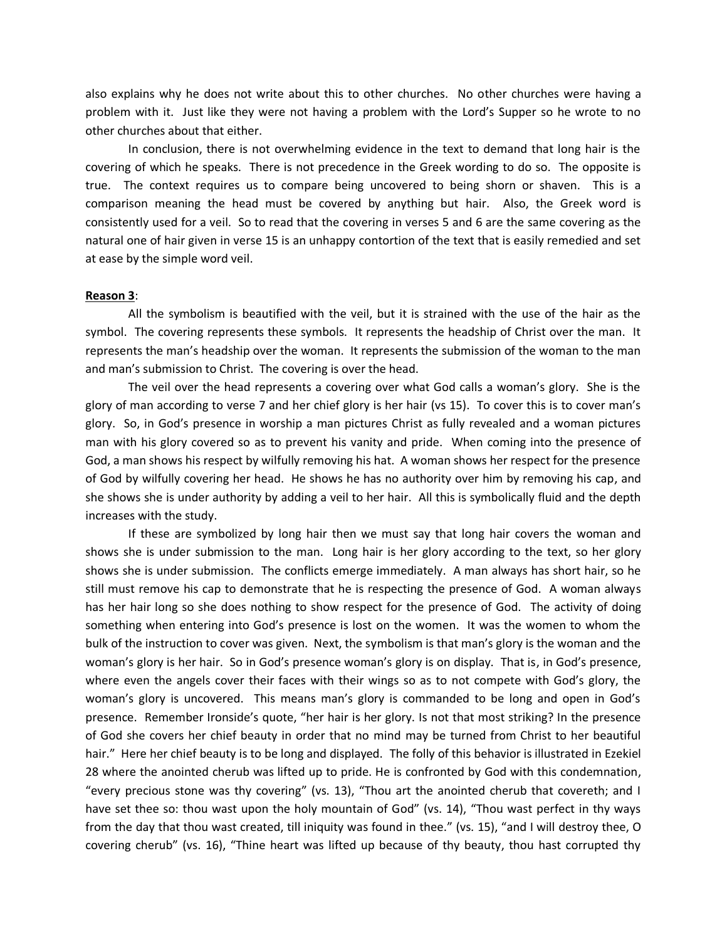also explains why he does not write about this to other churches. No other churches were having a problem with it. Just like they were not having a problem with the Lord's Supper so he wrote to no other churches about that either.

In conclusion, there is not overwhelming evidence in the text to demand that long hair is the covering of which he speaks. There is not precedence in the Greek wording to do so. The opposite is true. The context requires us to compare being uncovered to being shorn or shaven. This is a comparison meaning the head must be covered by anything but hair. Also, the Greek word is consistently used for a veil. So to read that the covering in verses 5 and 6 are the same covering as the natural one of hair given in verse 15 is an unhappy contortion of the text that is easily remedied and set at ease by the simple word veil.

#### **Reason 3**:

All the symbolism is beautified with the veil, but it is strained with the use of the hair as the symbol. The covering represents these symbols. It represents the headship of Christ over the man. It represents the man's headship over the woman. It represents the submission of the woman to the man and man's submission to Christ. The covering is over the head.

The veil over the head represents a covering over what God calls a woman's glory. She is the glory of man according to verse 7 and her chief glory is her hair (vs 15). To cover this is to cover man's glory. So, in God's presence in worship a man pictures Christ as fully revealed and a woman pictures man with his glory covered so as to prevent his vanity and pride. When coming into the presence of God, a man shows his respect by wilfully removing his hat. A woman shows her respect for the presence of God by wilfully covering her head. He shows he has no authority over him by removing his cap, and she shows she is under authority by adding a veil to her hair. All this is symbolically fluid and the depth increases with the study.

If these are symbolized by long hair then we must say that long hair covers the woman and shows she is under submission to the man. Long hair is her glory according to the text, so her glory shows she is under submission. The conflicts emerge immediately. A man always has short hair, so he still must remove his cap to demonstrate that he is respecting the presence of God. A woman always has her hair long so she does nothing to show respect for the presence of God. The activity of doing something when entering into God's presence is lost on the women. It was the women to whom the bulk of the instruction to cover was given. Next, the symbolism is that man's glory is the woman and the woman's glory is her hair. So in God's presence woman's glory is on display. That is, in God's presence, where even the angels cover their faces with their wings so as to not compete with God's glory, the woman's glory is uncovered. This means man's glory is commanded to be long and open in God's presence. Remember Ironside's quote, "her hair is her glory. Is not that most striking? In the presence of God she covers her chief beauty in order that no mind may be turned from Christ to her beautiful hair." Here her chief beauty is to be long and displayed. The folly of this behavior is illustrated in Ezekiel 28 where the anointed cherub was lifted up to pride. He is confronted by God with this condemnation, "every precious stone was thy covering" (vs. 13), "Thou art the anointed cherub that covereth; and I have set thee so: thou wast upon the holy mountain of God" (vs. 14), "Thou wast perfect in thy ways from the day that thou wast created, till iniquity was found in thee." (vs. 15), "and I will destroy thee, O covering cherub" (vs. 16), "Thine heart was lifted up because of thy beauty, thou hast corrupted thy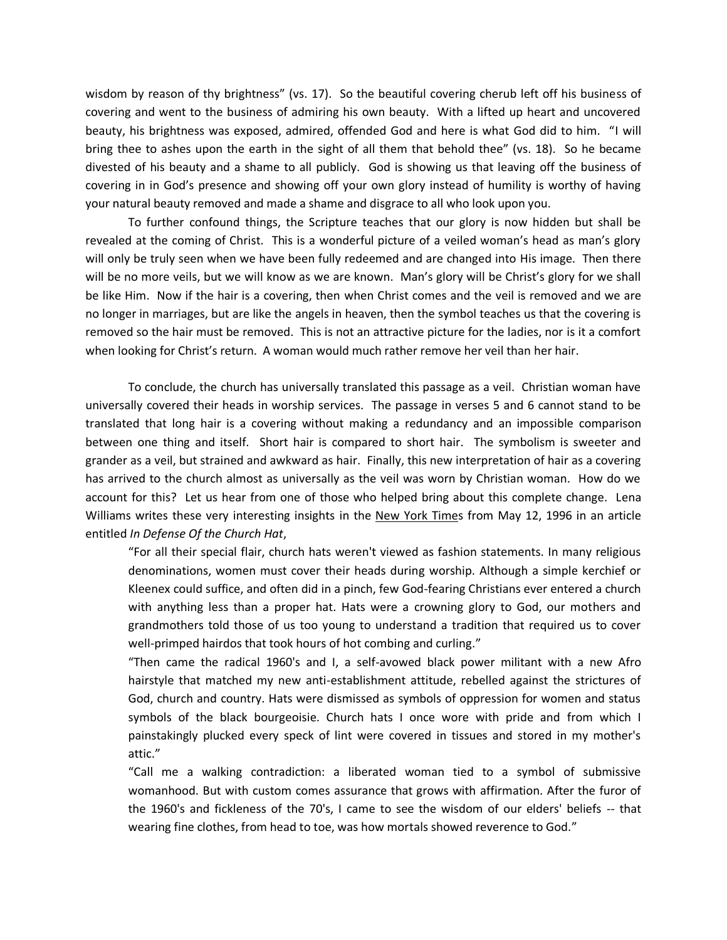wisdom by reason of thy brightness" (vs. 17). So the beautiful covering cherub left off his business of covering and went to the business of admiring his own beauty. With a lifted up heart and uncovered beauty, his brightness was exposed, admired, offended God and here is what God did to him. "I will bring thee to ashes upon the earth in the sight of all them that behold thee" (vs. 18). So he became divested of his beauty and a shame to all publicly. God is showing us that leaving off the business of covering in in God's presence and showing off your own glory instead of humility is worthy of having your natural beauty removed and made a shame and disgrace to all who look upon you.

To further confound things, the Scripture teaches that our glory is now hidden but shall be revealed at the coming of Christ. This is a wonderful picture of a veiled woman's head as man's glory will only be truly seen when we have been fully redeemed and are changed into His image. Then there will be no more veils, but we will know as we are known. Man's glory will be Christ's glory for we shall be like Him. Now if the hair is a covering, then when Christ comes and the veil is removed and we are no longer in marriages, but are like the angels in heaven, then the symbol teaches us that the covering is removed so the hair must be removed. This is not an attractive picture for the ladies, nor is it a comfort when looking for Christ's return. A woman would much rather remove her veil than her hair.

To conclude, the church has universally translated this passage as a veil. Christian woman have universally covered their heads in worship services. The passage in verses 5 and 6 cannot stand to be translated that long hair is a covering without making a redundancy and an impossible comparison between one thing and itself. Short hair is compared to short hair. The symbolism is sweeter and grander as a veil, but strained and awkward as hair. Finally, this new interpretation of hair as a covering has arrived to the church almost as universally as the veil was worn by Christian woman. How do we account for this? Let us hear from one of those who helped bring about this complete change. Lena Williams writes these very interesting insights in the New York Times from May 12, 1996 in an article entitled *In Defense Of the Church Hat*,

"For all their special flair, church hats weren't viewed as fashion statements. In many religious denominations, women must cover their heads during worship. Although a simple kerchief or Kleenex could suffice, and often did in a pinch, few God-fearing Christians ever entered a church with anything less than a proper hat. Hats were a crowning glory to God, our mothers and grandmothers told those of us too young to understand a tradition that required us to cover well-primped hairdos that took hours of hot combing and curling."

"Then came the radical 1960's and I, a self-avowed black power militant with a new Afro hairstyle that matched my new anti-establishment attitude, rebelled against the strictures of God, church and country. Hats were dismissed as symbols of oppression for women and status symbols of the black bourgeoisie. Church hats I once wore with pride and from which I painstakingly plucked every speck of lint were covered in tissues and stored in my mother's attic."

"Call me a walking contradiction: a liberated woman tied to a symbol of submissive womanhood. But with custom comes assurance that grows with affirmation. After the furor of the 1960's and fickleness of the 70's, I came to see the wisdom of our elders' beliefs -- that wearing fine clothes, from head to toe, was how mortals showed reverence to God."